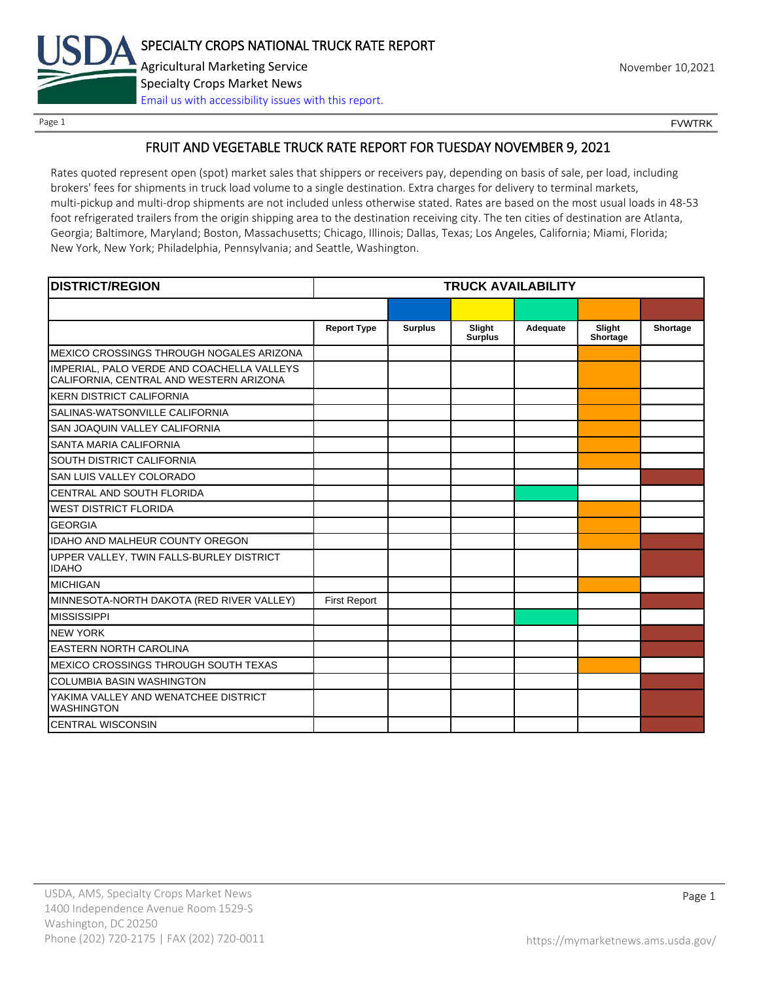

Page 1 FOUNTRK CONTROL CONTROL CONTROL CONTROL CONTROL CONTROL CONTROL CONTROL CONTROL CONTROL CONTROL CONTROL CONTROL CONTROL CONTROL CONTROL CONTROL CONTROL CONTROL CONTROL CONTROL CONTROL CONTROL CONTROL CONTROL CONTROL

# FRUIT AND VEGETABLE TRUCK RATE REPORT FOR TUESDAY NOVEMBER 9, 2021

Rates quoted represent open (spot) market sales that shippers or receivers pay, depending on basis of sale, per load, including brokers' fees for shipments in truck load volume to a single destination. Extra charges for delivery to terminal markets, multi-pickup and multi-drop shipments are not included unless otherwise stated. Rates are based on the most usual loads in 48-53 foot refrigerated trailers from the origin shipping area to the destination receiving city. The ten cities of destination are Atlanta, Georgia; Baltimore, Maryland; Boston, Massachusetts; Chicago, Illinois; Dallas, Texas; Los Angeles, California; Miami, Florida; New York, New York; Philadelphia, Pennsylvania; and Seattle, Washington.

| <b>DISTRICT/REGION</b>                                                                | <b>TRUCK AVAILABILITY</b> |                |                          |          |                    |          |
|---------------------------------------------------------------------------------------|---------------------------|----------------|--------------------------|----------|--------------------|----------|
|                                                                                       |                           |                |                          |          |                    |          |
|                                                                                       | <b>Report Type</b>        | <b>Surplus</b> | Slight<br><b>Surplus</b> | Adequate | Slight<br>Shortage | Shortage |
| MEXICO CROSSINGS THROUGH NOGALES ARIZONA                                              |                           |                |                          |          |                    |          |
| IMPERIAL, PALO VERDE AND COACHELLA VALLEYS<br>CALIFORNIA, CENTRAL AND WESTERN ARIZONA |                           |                |                          |          |                    |          |
| <b>KERN DISTRICT CALIFORNIA</b>                                                       |                           |                |                          |          |                    |          |
| SALINAS-WATSONVILLE CALIFORNIA                                                        |                           |                |                          |          |                    |          |
| SAN JOAQUIN VALLEY CALIFORNIA                                                         |                           |                |                          |          |                    |          |
| <b>SANTA MARIA CALIFORNIA</b>                                                         |                           |                |                          |          |                    |          |
| SOUTH DISTRICT CALIFORNIA                                                             |                           |                |                          |          |                    |          |
| SAN LUIS VALLEY COLORADO                                                              |                           |                |                          |          |                    |          |
| CENTRAL AND SOUTH FLORIDA                                                             |                           |                |                          |          |                    |          |
| <b>WEST DISTRICT FLORIDA</b>                                                          |                           |                |                          |          |                    |          |
| <b>GEORGIA</b>                                                                        |                           |                |                          |          |                    |          |
| <b>IDAHO AND MALHEUR COUNTY OREGON</b>                                                |                           |                |                          |          |                    |          |
| UPPER VALLEY, TWIN FALLS-BURLEY DISTRICT<br><b>IDAHO</b>                              |                           |                |                          |          |                    |          |
| <b>MICHIGAN</b>                                                                       |                           |                |                          |          |                    |          |
| MINNESOTA-NORTH DAKOTA (RED RIVER VALLEY)                                             | <b>First Report</b>       |                |                          |          |                    |          |
| <b>MISSISSIPPI</b>                                                                    |                           |                |                          |          |                    |          |
| <b>NEW YORK</b>                                                                       |                           |                |                          |          |                    |          |
| <b>EASTERN NORTH CAROLINA</b>                                                         |                           |                |                          |          |                    |          |
| <b>MEXICO CROSSINGS THROUGH SOUTH TEXAS</b>                                           |                           |                |                          |          |                    |          |
| <b>COLUMBIA BASIN WASHINGTON</b>                                                      |                           |                |                          |          |                    |          |
| YAKIMA VALLEY AND WENATCHEE DISTRICT<br><b>WASHINGTON</b>                             |                           |                |                          |          |                    |          |
| <b>CENTRAL WISCONSIN</b>                                                              |                           |                |                          |          |                    |          |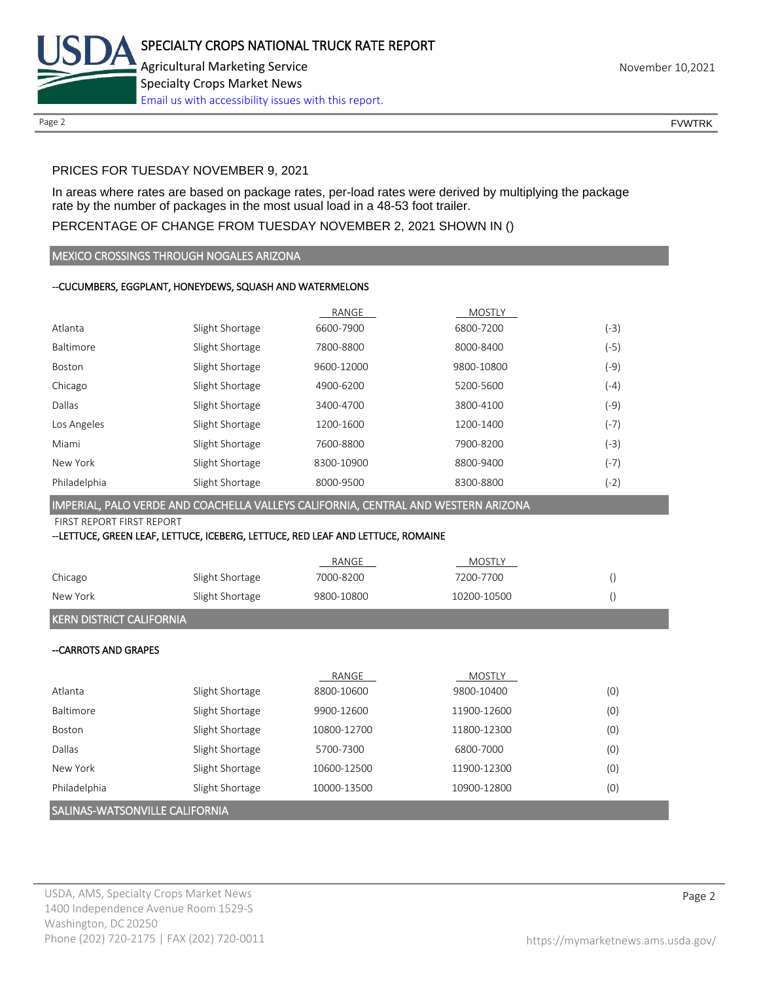

Page 2 FOUNTRK CONTROL CONTROL CONTROL CONTROL CONTROL CONTROL CONTROL CONTROL CONTROL CONTROL CONTROL CONTROL CONTROL CONTROL CONTROL CONTROL CONTROL CONTROL CONTROL CONTROL CONTROL CONTROL CONTROL CONTROL CONTROL CONTROL

# PRICES FOR TUESDAY NOVEMBER 9, 2021

In areas where rates are based on package rates, per-load rates were derived by multiplying the package rate by the number of packages in the most usual load in a 48-53 foot trailer.

# PERCENTAGE OF CHANGE FROM TUESDAY NOVEMBER 2, 2021 SHOWN IN ()

#### MEXICO CROSSINGS THROUGH NOGALES ARIZONA

# --CUCUMBERS, EGGPLANT, HONEYDEWS, SQUASH AND WATERMELONS

|              |                 | RANGE      | <b>MOSTLY</b> |        |
|--------------|-----------------|------------|---------------|--------|
| Atlanta      | Slight Shortage | 6600-7900  | 6800-7200     | (-3)   |
| Baltimore    | Slight Shortage | 7800-8800  | 8000-8400     | (-5)   |
| Boston       | Slight Shortage | 9600-12000 | 9800-10800    | (-9)   |
| Chicago      | Slight Shortage | 4900-6200  | 5200-5600     | (-4)   |
| Dallas       | Slight Shortage | 3400-4700  | 3800-4100     | (-9)   |
| Los Angeles  | Slight Shortage | 1200-1600  | 1200-1400     | $(-7)$ |
| Miami        | Slight Shortage | 7600-8800  | 7900-8200     | (-3)   |
| New York     | Slight Shortage | 8300-10900 | 8800-9400     | (-7)   |
| Philadelphia | Slight Shortage | 8000-9500  | 8300-8800     | (-2)   |

#### IMPERIAL, PALO VERDE AND COACHELLA VALLEYS CALIFORNIA, CENTRAL AND WESTERN ARIZONA

FIRST REPORT FIRST REPORT

#### --LETTUCE, GREEN LEAF, LETTUCE, ICEBERG, LETTUCE, RED LEAF AND LETTUCE, ROMAINE

|          |                 | RANGE      | MOSTLY      |  |
|----------|-----------------|------------|-------------|--|
| Chicago  | Slight Shortage | 7000-8200  | 7200-7700   |  |
| New York | Slight Shortage | 9800-10800 | 10200-10500 |  |
|          |                 |            |             |  |

# KERN DISTRICT CALIFORNIA

### --CARROTS AND GRAPES

| lSALINAS-WATSONVILLE CALIFORNIA |                 |             |             |     |  |
|---------------------------------|-----------------|-------------|-------------|-----|--|
| Philadelphia                    | Slight Shortage | 10000-13500 | 10900-12800 | (0) |  |
| New York                        | Slight Shortage | 10600-12500 | 11900-12300 | (0) |  |
| Dallas                          | Slight Shortage | 5700-7300   | 6800-7000   | (0) |  |
| Boston                          | Slight Shortage | 10800-12700 | 11800-12300 | (0) |  |
| Baltimore                       | Slight Shortage | 9900-12600  | 11900-12600 | (0) |  |
| Atlanta                         | Slight Shortage | 8800-10600  | 9800-10400  | (0) |  |
|                                 |                 | RANGE       | MOSTLY      |     |  |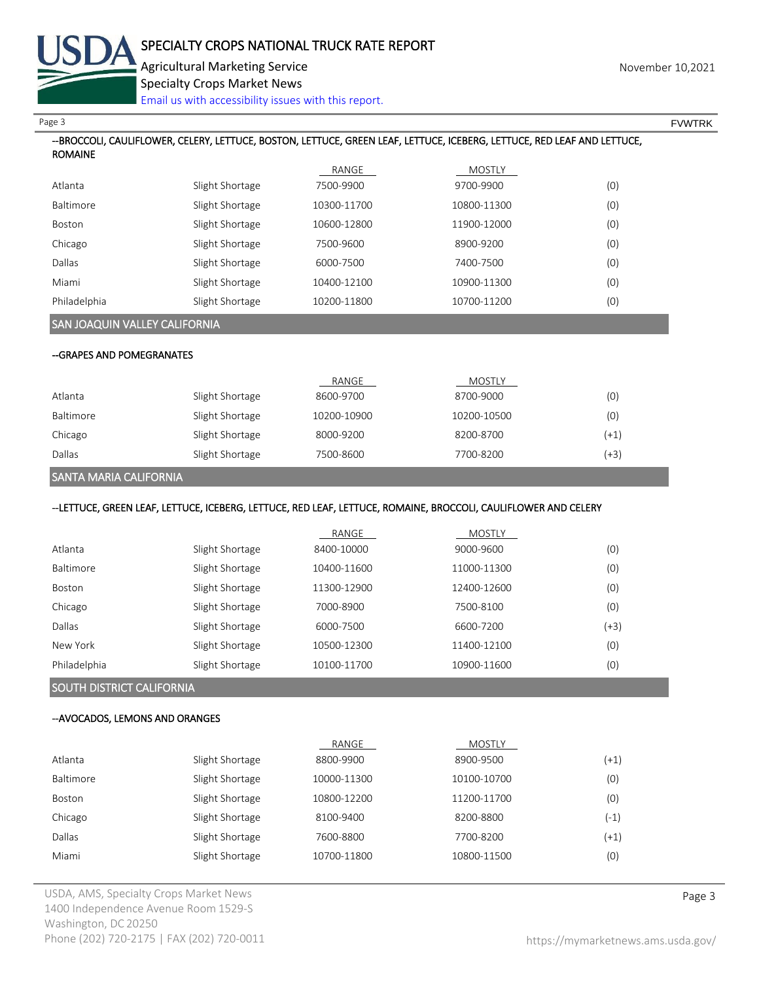

# --BROCCOLI, CAULIFLOWER, CELERY, LETTUCE, BOSTON, LETTUCE, GREEN LEAF, LETTUCE, ICEBERG, LETTUCE, RED LEAF AND LETTUCE, ROMAINE RANGE MOSTLY Atlanta Slight Shortage 7500-9900 9700-9900 (0) Baltimore Slight Shortage 10300-11700 10800-11300 (0) Boston Slight Shortage 10600-12800 11900-12000 (0) Chicago Slight Shortage 7500-9600 8900-9200 (0) Dallas Slight Shortage 6000-7500 7400-7500 (0) Miami Slight Shortage 10400-12100 10900-11300 (0) Philadelphia Slight Shortage 10200-11800 10700-11200 (0) SAN JOAQUIN VALLEY CALIFORNIA --GRAPES AND POMEGRANATES RANGE MOSTLY Atlanta Slight Shortage 8600-9700 8700-9000 (0) Baltimore Slight Shortage 10200-10900 10200-10500 (0) Chicago Slight Shortage 8000-9200 8200-8700 (+1) Dallas Slight Shortage 7500-8600 7700-8200 (+3) SANTA MARIA CALIFORNIA --LETTUCE, GREEN LEAF, LETTUCE, ICEBERG, LETTUCE, RED LEAF, LETTUCE, ROMAINE, BROCCOLI, CAULIFLOWER AND CELERY RANGE MOSTLY Atlanta Slight Shortage 8400-10000 9000-9600 (0) Baltimore Slight Shortage 10400-11600 11000-11300 (0) Page 3 FOUNTRK And the set of the set of the set of the set of the set of the set of the set of the set of the set of the set of the set of the set of the set of the set of the set of the set of the set of the set of the s Specialty Crops Market News [Email us with accessibility issues with this report.](mailto:mars@ams.usda.gov?subject=508%20Inquiry/Report)

| DAILITIUI C  | Sugne Shortage  | 10400-11000 | 11000-11300 | $\mathcal{U}$ |
|--------------|-----------------|-------------|-------------|---------------|
| Boston       | Slight Shortage | 11300-12900 | 12400-12600 | (0)           |
| Chicago      | Slight Shortage | 7000-8900   | 7500-8100   | (0)           |
| Dallas       | Slight Shortage | 6000-7500   | 6600-7200   | (+3)          |
| New York     | Slight Shortage | 10500-12300 | 11400-12100 | (0)           |
| Philadelphia | Slight Shortage | 10100-11700 | 10900-11600 | (0)           |

# SOUTH DISTRICT CALIFORNIA

#### --AVOCADOS, LEMONS AND ORANGES

|           |                 | RANGE       | MOSTLY      |        |
|-----------|-----------------|-------------|-------------|--------|
| Atlanta   | Slight Shortage | 8800-9900   | 8900-9500   | $(+1)$ |
| Baltimore | Slight Shortage | 10000-11300 | 10100-10700 | (0)    |
| Boston    | Slight Shortage | 10800-12200 | 11200-11700 | (0)    |
| Chicago   | Slight Shortage | 8100-9400   | 8200-8800   | $(-1)$ |
| Dallas    | Slight Shortage | 7600-8800   | 7700-8200   | $(+1)$ |
| Miami     | Slight Shortage | 10700-11800 | 10800-11500 | (0)    |
|           |                 |             |             |        |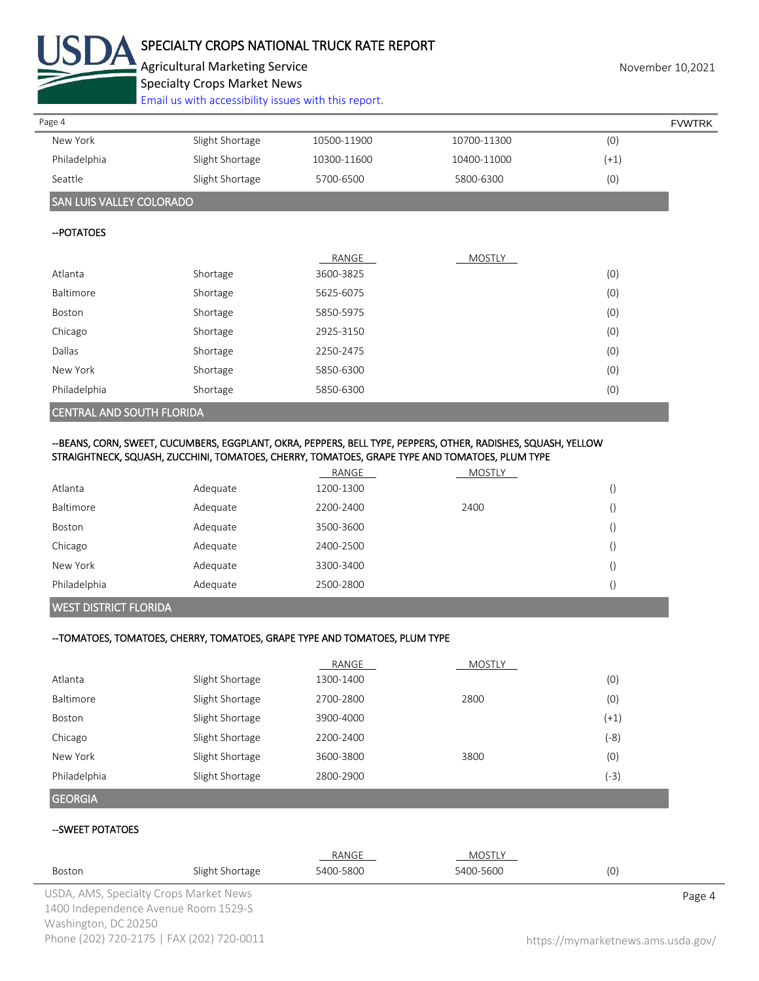

# SPECIALTY CROPS NATIONAL TRUCK RATE REPORT

Agricultural Marketing Service **November 10,2021** November 10,2021

Specialty Crops Market News

[Email us with accessibility issues with this report.](mailto:mars@ams.usda.gov?subject=508%20Inquiry/Report)

| Page 4       |                 |             |             | <b>FVWTRK</b> |
|--------------|-----------------|-------------|-------------|---------------|
| New York     | Slight Shortage | 10500-11900 | 10700-11300 | (0)           |
| Philadelphia | Slight Shortage | 10300-11600 | 10400-11000 | $(+1)$        |
| Seattle      | Slight Shortage | 5700-6500   | 5800-6300   | (0)           |

# SAN LUIS VALLEY COLORADO

#### --POTATOES

|              |          | RANGE     | MOSTLY |     |
|--------------|----------|-----------|--------|-----|
| Atlanta      | Shortage | 3600-3825 |        | (0) |
| Baltimore    | Shortage | 5625-6075 |        | (0) |
| Boston       | Shortage | 5850-5975 |        | (0) |
| Chicago      | Shortage | 2925-3150 |        | (0) |
| Dallas       | Shortage | 2250-2475 |        | (0) |
| New York     | Shortage | 5850-6300 |        | (0) |
| Philadelphia | Shortage | 5850-6300 |        | (0) |
|              |          |           |        |     |

## CENTRAL AND SOUTH FLORIDA

# --BEANS, CORN, SWEET, CUCUMBERS, EGGPLANT, OKRA, PEPPERS, BELL TYPE, PEPPERS, OTHER, RADISHES, SQUASH, YELLOW STRAIGHTNECK, SQUASH, ZUCCHINI, TOMATOES, CHERRY, TOMATOES, GRAPE TYPE AND TOMATOES, PLUM TYPE

|              |          | RANGE     | MOSTLY |  |
|--------------|----------|-----------|--------|--|
| Atlanta      | Adequate | 1200-1300 |        |  |
| Baltimore    | Adequate | 2200-2400 | 2400   |  |
| Boston       | Adequate | 3500-3600 |        |  |
| Chicago      | Adequate | 2400-2500 |        |  |
| New York     | Adequate | 3300-3400 |        |  |
| Philadelphia | Adequate | 2500-2800 |        |  |

### WEST DISTRICT FLORIDA

### --TOMATOES, TOMATOES, CHERRY, TOMATOES, GRAPE TYPE AND TOMATOES, PLUM TYPE

|                |                 | RANGE     | <b>MOSTLY</b> |        |
|----------------|-----------------|-----------|---------------|--------|
| Atlanta        | Slight Shortage | 1300-1400 |               | (0)    |
| Baltimore      | Slight Shortage | 2700-2800 | 2800          | (0)    |
| Boston         | Slight Shortage | 3900-4000 |               | $(+1)$ |
| Chicago        | Slight Shortage | 2200-2400 |               | $(-8)$ |
| New York       | Slight Shortage | 3600-3800 | 3800          | (0)    |
| Philadelphia   | Slight Shortage | 2800-2900 |               | $(-3)$ |
| <b>GEORGIA</b> |                 |           |               |        |

### --SWEET POTATOES

|                      |                                           | RANGE     | MOSTLY    |                                    |  |
|----------------------|-------------------------------------------|-----------|-----------|------------------------------------|--|
| Boston               | Slight Shortage                           | 5400-5800 | 5400-5600 | (0)                                |  |
|                      | USDA, AMS, Specialty Crops Market News    |           |           | Page 4                             |  |
|                      | 1400 Independence Avenue Room 1529-S      |           |           |                                    |  |
| Washington, DC 20250 |                                           |           |           |                                    |  |
|                      | Phone (202) 720-2175   FAX (202) 720-0011 |           |           | https://mymarketnews.ams.usda.gov/ |  |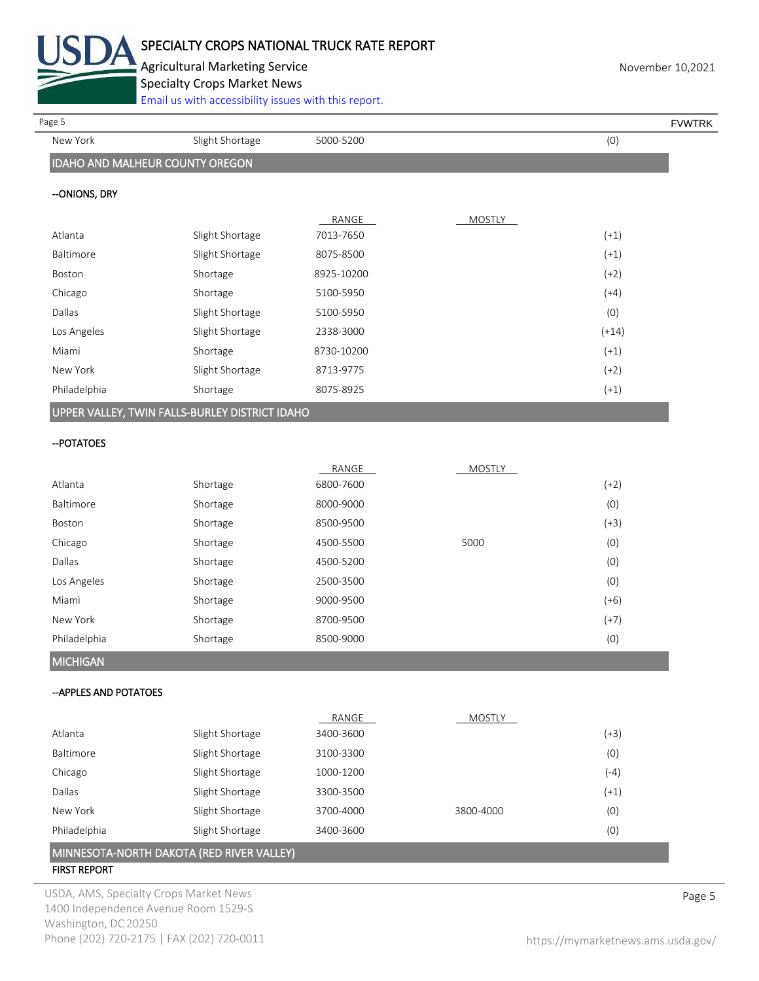

Agricultural Marketing Service **November 10,2021** Specialty Crops Market News

[Email us with accessibility issues with this report.](mailto:mars@ams.usda.gov?subject=508%20Inquiry/Report)

New York Slight Shortage 5000-5200 (0) IDAHO AND MALHEUR COUNTY OREGON --ONIONS, DRY RANGE MOSTLY Atlanta Slight Shortage 7013-7650 (+1) Baltimore Slight Shortage 8075-8500 (+1) Boston Shortage 8925-10200 (+2) Chicago Shortage 5100-5950 (+4) Dallas Slight Shortage 5100-5950 (0) Dallas (0) Los Angeles Slight Shortage 2338-3000 (+14) Miami Shortage 8730-10200 (+1) New York Slight Shortage 8713-9775 (+2) Philadelphia Shortage 8075-8925 (+1) UPPER VALLEY, TWIN FALLS-BURLEY DISTRICT IDAHO --POTATOES RANGE MOSTLY Page 5 FOUNTRK And the set of the set of the set of the set of the set of the set of the set of the set of the set of the set of the set of the set of the set of the set of the set of the set of the set of the set of the s

|                 |          | KANGE     | <b>IVIUSTLY</b> |        |
|-----------------|----------|-----------|-----------------|--------|
| Atlanta         | Shortage | 6800-7600 |                 | $(+2)$ |
| Baltimore       | Shortage | 8000-9000 |                 | (0)    |
| Boston          | Shortage | 8500-9500 |                 | $(+3)$ |
| Chicago         | Shortage | 4500-5500 | 5000            | (0)    |
| Dallas          | Shortage | 4500-5200 |                 | (0)    |
| Los Angeles     | Shortage | 2500-3500 |                 | (0)    |
| Miami           | Shortage | 9000-9500 |                 | $(+6)$ |
| New York        | Shortage | 8700-9500 |                 | $(+7)$ |
| Philadelphia    | Shortage | 8500-9000 |                 | (0)    |
| <b>MICHIGAN</b> |          |           |                 |        |

--APPLES AND POTATOES

|                  |                 | RANGE     | <b>MOSTLY</b> |        |
|------------------|-----------------|-----------|---------------|--------|
| Atlanta          | Slight Shortage | 3400-3600 |               | $(+3)$ |
| <b>Baltimore</b> | Slight Shortage | 3100-3300 |               | (0)    |
| Chicago          | Slight Shortage | 1000-1200 |               | (-4)   |
| Dallas           | Slight Shortage | 3300-3500 |               | $(+1)$ |
| New York         | Slight Shortage | 3700-4000 | 3800-4000     | (0)    |
| Philadelphia     | Slight Shortage | 3400-3600 |               | (0)    |
|                  |                 |           |               |        |

MINNESOTA-NORTH DAKOTA (RED RIVER VALLEY)

# FIRST REPORT

USDA, AMS, Specialty Crops Market News **Page 5** 1400 Independence Avenue Room 1529-S Washington, DC 20250 Phone (202) 720-2175 | FAX (202) 720-0011 <https://mymarketnews.ams.usda.gov/>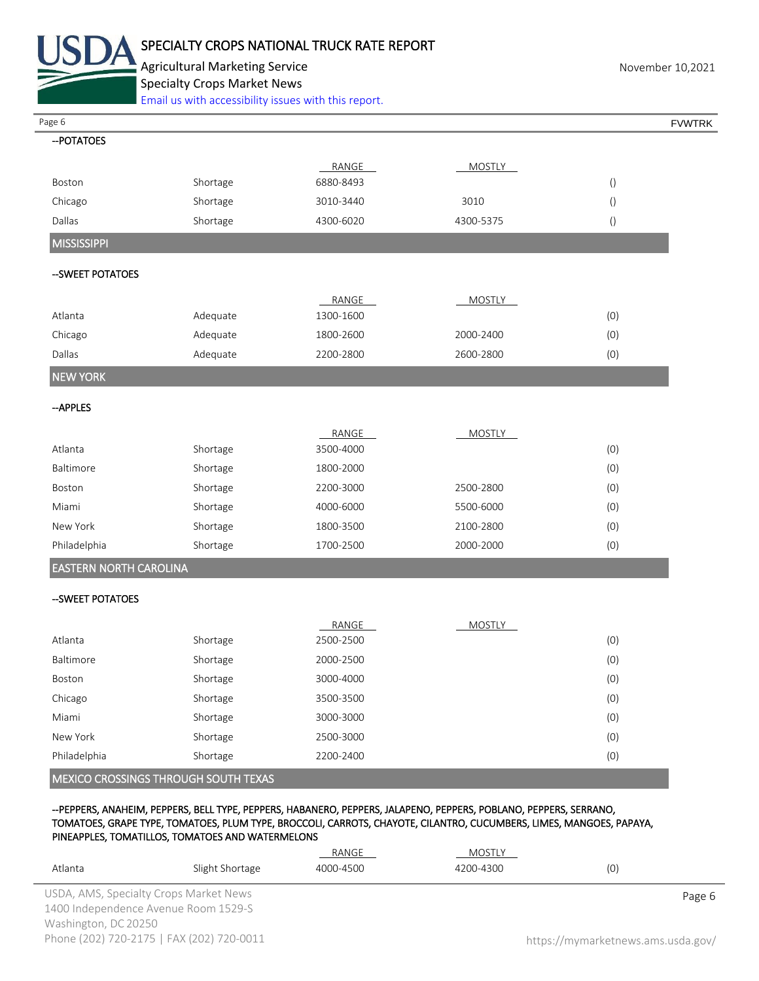

Agricultural Marketing Service **November 10,2021** November 10,2021 Specialty Crops Market News

[Email us with accessibility issues with this report.](mailto:mars@ams.usda.gov?subject=508%20Inquiry/Report)

| Page 6                        |          |           |               |                  | <b>FVWTRK</b> |
|-------------------------------|----------|-----------|---------------|------------------|---------------|
| -- POTATOES                   |          |           |               |                  |               |
|                               |          | RANGE     | <b>MOSTLY</b> |                  |               |
| Boston                        | Shortage | 6880-8493 |               | $\left( \right)$ |               |
| Chicago                       | Shortage | 3010-3440 | 3010          | $\left( \right)$ |               |
| Dallas                        | Shortage | 4300-6020 | 4300-5375     | $\left(\right)$  |               |
| <b>MISSISSIPPI</b>            |          |           |               |                  |               |
| --SWEET POTATOES              |          |           |               |                  |               |
|                               |          |           |               |                  |               |
|                               |          | RANGE     | <b>MOSTLY</b> |                  |               |
| Atlanta                       | Adequate | 1300-1600 |               | (0)              |               |
| Chicago                       | Adequate | 1800-2600 | 2000-2400     | (0)              |               |
| Dallas                        | Adequate | 2200-2800 | 2600-2800     | (0)              |               |
| <b>NEW YORK</b>               |          |           |               |                  |               |
| -- APPLES                     |          |           |               |                  |               |
|                               |          | RANGE     | <b>MOSTLY</b> |                  |               |
| Atlanta                       | Shortage | 3500-4000 |               | (0)              |               |
| Baltimore                     | Shortage | 1800-2000 |               | (0)              |               |
| Boston                        | Shortage | 2200-3000 | 2500-2800     | (0)              |               |
| Miami                         | Shortage | 4000-6000 | 5500-6000     | (0)              |               |
| New York                      | Shortage | 1800-3500 | 2100-2800     | (0)              |               |
| Philadelphia                  | Shortage | 1700-2500 | 2000-2000     | (0)              |               |
| <b>EASTERN NORTH CAROLINA</b> |          |           |               |                  |               |
| -- SWEET POTATOES             |          |           |               |                  |               |
|                               |          | RANGE     | <b>MOSTLY</b> |                  |               |
| Atlanta                       | Shortage | 2500-2500 |               | (0)              |               |
| Baltimore                     | Shortage | 2000-2500 |               | (0)              |               |
| Boston                        | Shortage | 3000-4000 |               | (0)              |               |
| Chicago                       | Shortage | 3500-3500 |               | (0)              |               |
| Miami                         | Shortage | 3000-3000 |               | (0)              |               |
| New York                      | Shortage | 2500-3000 |               | (0)              |               |
| Philadelphia                  | Shortage | 2200-2400 |               | (0)              |               |

--PEPPERS, ANAHEIM, PEPPERS, BELL TYPE, PEPPERS, HABANERO, PEPPERS, JALAPENO, PEPPERS, POBLANO, PEPPERS, SERRANO, TOMATOES, GRAPE TYPE, TOMATOES, PLUM TYPE, BROCCOLI, CARROTS, CHAYOTE, CILANTRO, CUCUMBERS, LIMES, MANGOES, PAPAYA, PINEAPPLES, TOMATILLOS, TOMATOES AND WATERMELONS

| Atlanta                                                                        | Slight Shortage                           | RANGE<br>4000-4500 | MOSTLY<br>4200-4300 | (0)                                |
|--------------------------------------------------------------------------------|-------------------------------------------|--------------------|---------------------|------------------------------------|
| USDA, AMS, Specialty Crops Market News<br>1400 Independence Avenue Room 1529-S |                                           |                    |                     | Page 6                             |
| Washington, DC 20250                                                           | Phone (202) 720-2175   FAX (202) 720-0011 |                    |                     | https://mymarketnews.ams.usda.gov/ |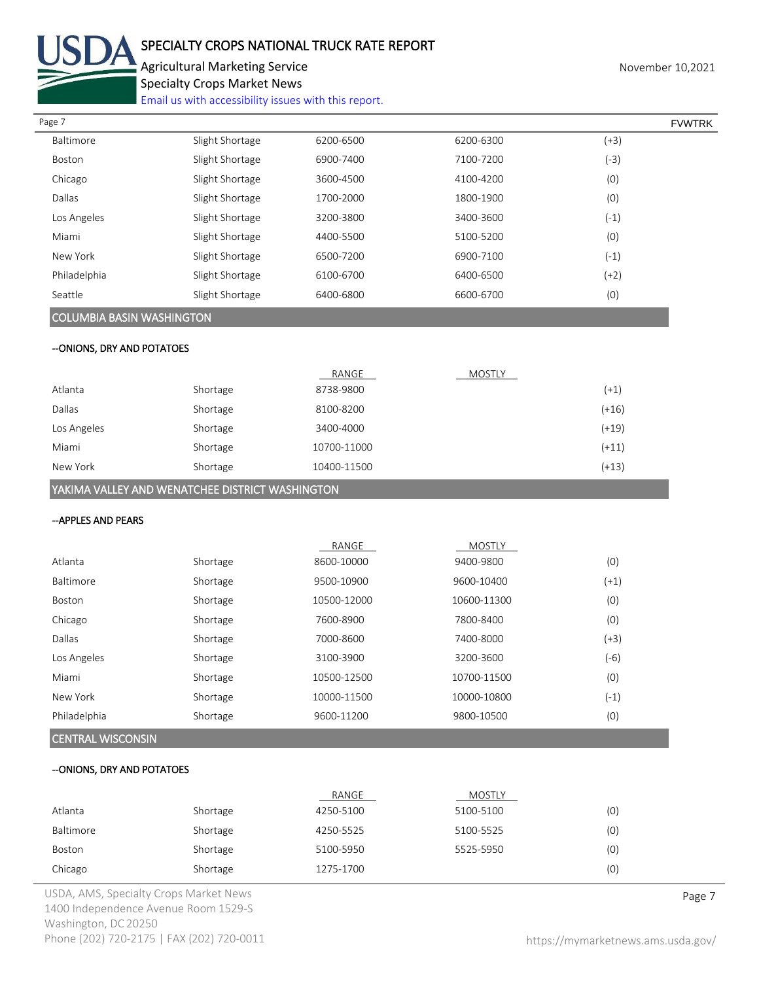

# SPECIALTY CROPS NATIONAL TRUCK RATE REPORT

Agricultural Marketing Service **November 10,2021** November 10,2021 Specialty Crops Market News

[Email us with accessibility issues with this report.](mailto:mars@ams.usda.gov?subject=508%20Inquiry/Report)

| Page 7       |                 |           |           |        | <b>FVWTRK</b> |
|--------------|-----------------|-----------|-----------|--------|---------------|
| Baltimore    | Slight Shortage | 6200-6500 | 6200-6300 | $(+3)$ |               |
| Boston       | Slight Shortage | 6900-7400 | 7100-7200 | $(-3)$ |               |
| Chicago      | Slight Shortage | 3600-4500 | 4100-4200 | (0)    |               |
| Dallas       | Slight Shortage | 1700-2000 | 1800-1900 | (0)    |               |
| Los Angeles  | Slight Shortage | 3200-3800 | 3400-3600 | $(-1)$ |               |
| Miami        | Slight Shortage | 4400-5500 | 5100-5200 | (0)    |               |
| New York     | Slight Shortage | 6500-7200 | 6900-7100 | $(-1)$ |               |
| Philadelphia | Slight Shortage | 6100-6700 | 6400-6500 | $(+2)$ |               |
| Seattle      | Slight Shortage | 6400-6800 | 6600-6700 | (0)    |               |
|              |                 |           |           |        |               |

# COLUMBIA BASIN WASHINGTON

# --ONIONS, DRY AND POTATOES

|             |          | RANGE       | <b>MOSTLY</b> |         |
|-------------|----------|-------------|---------------|---------|
| Atlanta     | Shortage | 8738-9800   |               | $(+1)$  |
| Dallas      | Shortage | 8100-8200   |               | (+16)   |
| Los Angeles | Shortage | 3400-4000   |               | $(+19)$ |
| Miami       | Shortage | 10700-11000 |               | $(+11)$ |
| New York    | Shortage | 10400-11500 |               | (+13)   |

YAKIMA VALLEY AND WENATCHEE DISTRICT WASHINGTON

#### --APPLES AND PEARS

| CENTRAL MUCCONICINI |          |             |               |        |
|---------------------|----------|-------------|---------------|--------|
| Philadelphia        | Shortage | 9600-11200  | 9800-10500    | (0)    |
| New York            | Shortage | 10000-11500 | 10000-10800   | $(-1)$ |
| Miami               | Shortage | 10500-12500 | 10700-11500   | (0)    |
| Los Angeles         | Shortage | 3100-3900   | 3200-3600     | (-6)   |
| Dallas              | Shortage | 7000-8600   | 7400-8000     | (+3)   |
| Chicago             | Shortage | 7600-8900   | 7800-8400     | (0)    |
| Boston              | Shortage | 10500-12000 | 10600-11300   | (0)    |
| <b>Baltimore</b>    | Shortage | 9500-10900  | 9600-10400    | $(+1)$ |
| Atlanta             | Shortage | 8600-10000  | 9400-9800     | (0)    |
|                     |          | RANGE       | <b>MOSTLY</b> |        |

# CENTRAL WISCONSIN

#### --ONIONS, DRY AND POTATOES

|           |          | RANGE     | <b>MOSTLY</b> |     |
|-----------|----------|-----------|---------------|-----|
| Atlanta   | Shortage | 4250-5100 | 5100-5100     | (0) |
| Baltimore | Shortage | 4250-5525 | 5100-5525     | (0) |
| Boston    | Shortage | 5100-5950 | 5525-5950     | (0) |
| Chicago   | Shortage | 1275-1700 |               | (0) |

USDA, AMS, Specialty Crops Market News **Page 7** 1400 Independence Avenue Room 1529-S Washington, DC 20250 Phone (202) 720-2175 | FAX (202) 720-0011 <https://mymarketnews.ams.usda.gov/>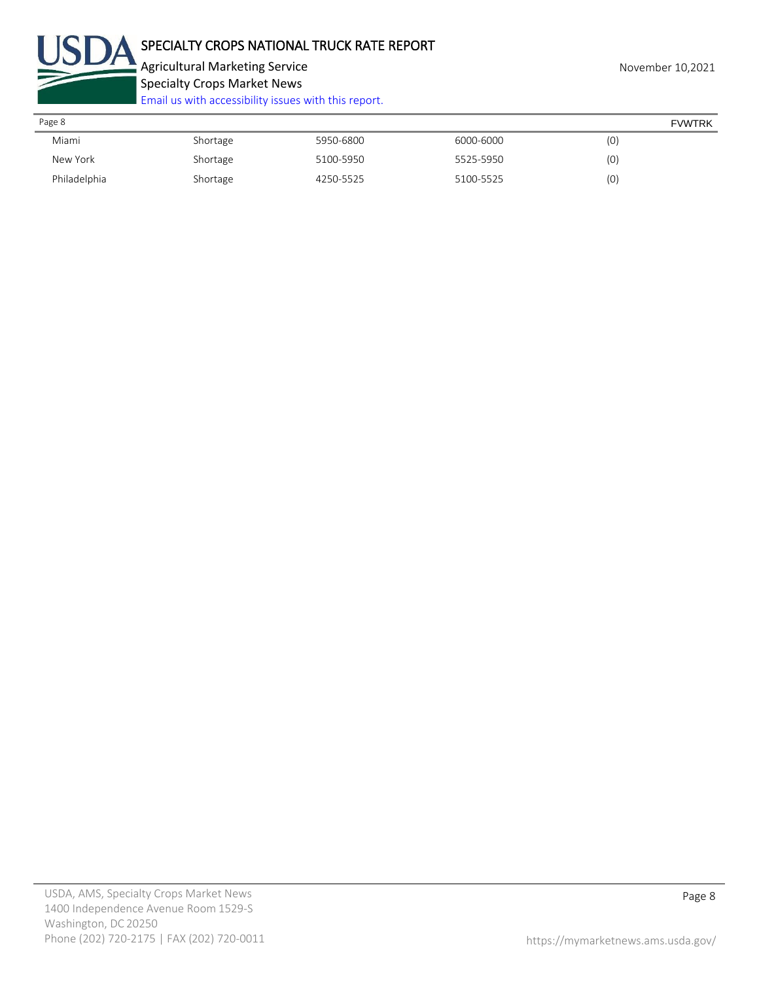

Agricultural Marketing Service **November 10,2021** Specialty Crops Market News [Email us with accessibility issues with this report.](mailto:mars@ams.usda.gov?subject=508%20Inquiry/Report)

| Page 8       |          |           |           | <b>FVWTRK</b> |  |
|--------------|----------|-----------|-----------|---------------|--|
| Miami        | Shortage | 5950-6800 | 6000-6000 | (0)           |  |
| New York     | Shortage | 5100-5950 | 5525-5950 | (0)           |  |
| Philadelphia | Shortage | 4250-5525 | 5100-5525 | (0)           |  |